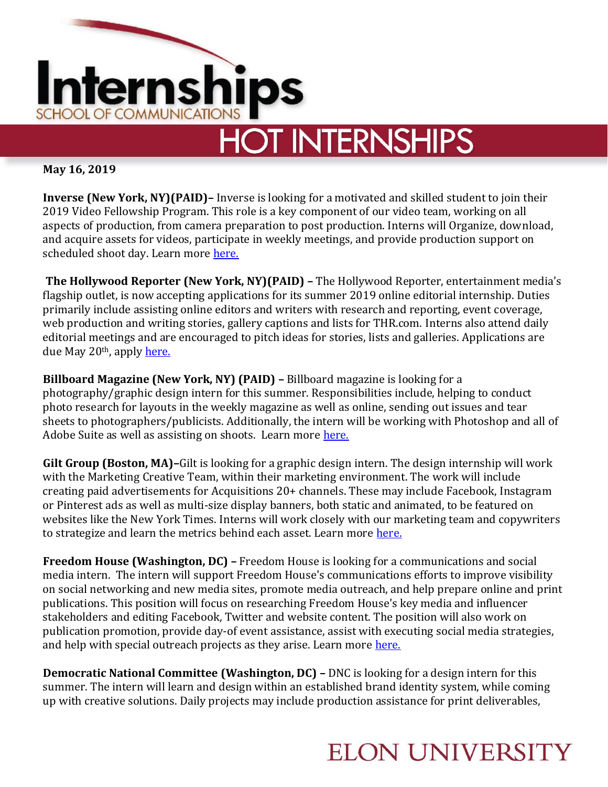

**May 16, 2019**

**Inverse (New York, NY)(PAID)–** Inverse is looking for a motivated and skilled student to join their 2019 Video Fellowship Program. This role is a key component of our video team, working on all aspects of production, from camera preparation to post production. Interns will Organize, download, and acquire assets for videos, participate in weekly meetings, and provide production support on scheduled shoot day. Learn more [here.](http://ed2010.com/job/new-york-7041-video-production-fellowship/)

**The Hollywood Reporter (New York, NY)(PAID) –** The Hollywood Reporter, entertainment media's flagship outlet, is now accepting applications for its summer 2019 online editorial internship. Duties primarily include assisting online editors and writers with research and reporting, event coverage, web production and writing stories, gallery captions and lists for THR.com. Interns also attend daily editorial meetings and are encouraged to pitch ideas for stories, lists and galleries. Applications are due May 20<sup>th</sup>, apply [here.](http://ed2010.com/job/new-york-7041-nyc-editorial-intern-thr-com/)

**Billboard Magazine (New York, NY) (PAID) –** Billboard magazine is looking for a photography/graphic design intern for this summer. Responsibilities include, helping to conduct photo research for layouts in the weekly magazine as well as online, sending out issues and tear sheets to photographers/publicists. Additionally, the intern will be working with Photoshop and all of Adobe Suite as well as assisting on shoots. Learn more [here.](http://ed2010.com/job/new-york-ny-7041-photo-intern/)

**Gilt Group (Boston, MA)–**Gilt is looking for a graphic design intern. The design internship will work with the Marketing Creative Team, within their marketing environment. The work will include creating paid advertisements for Acquisitions 20+ channels. These may include Facebook, Instagram or Pinterest ads as well as multi-size display banners, both static and animated, to be featured on websites like the New York Times. Interns will work closely with our marketing team and copywriters to strategize and learn the metrics behind each asset. Learn more [here.](https://boards.greenhouse.io/ruelala/jobs/1592198?s=LinkedIn&source=LinkedIn)

**Freedom House (Washington, DC) –** Freedom House is looking for a communications and social media intern. The intern will support Freedom House's communications efforts to improve visibility on social networking and new media sites, promote media outreach, and help prepare online and print publications. This position will focus on researching Freedom House's key media and influencer stakeholders and editing Facebook, Twitter and website content. The position will also work on publication promotion, provide day-of event assistance, assist with executing social media strategies, and help with special outreach projects as they arise. Learn more [here.](https://www.aftercollege.com/company/freedom-house/487013/134523176/)

**Democratic National Committee (Washington, DC) –** DNC is looking for a design intern for this summer. The intern will learn and design within an established brand identity system, while coming up with creative solutions. Daily projects may include production assistance for print deliverables,

## **ELON UNIVERSITY**